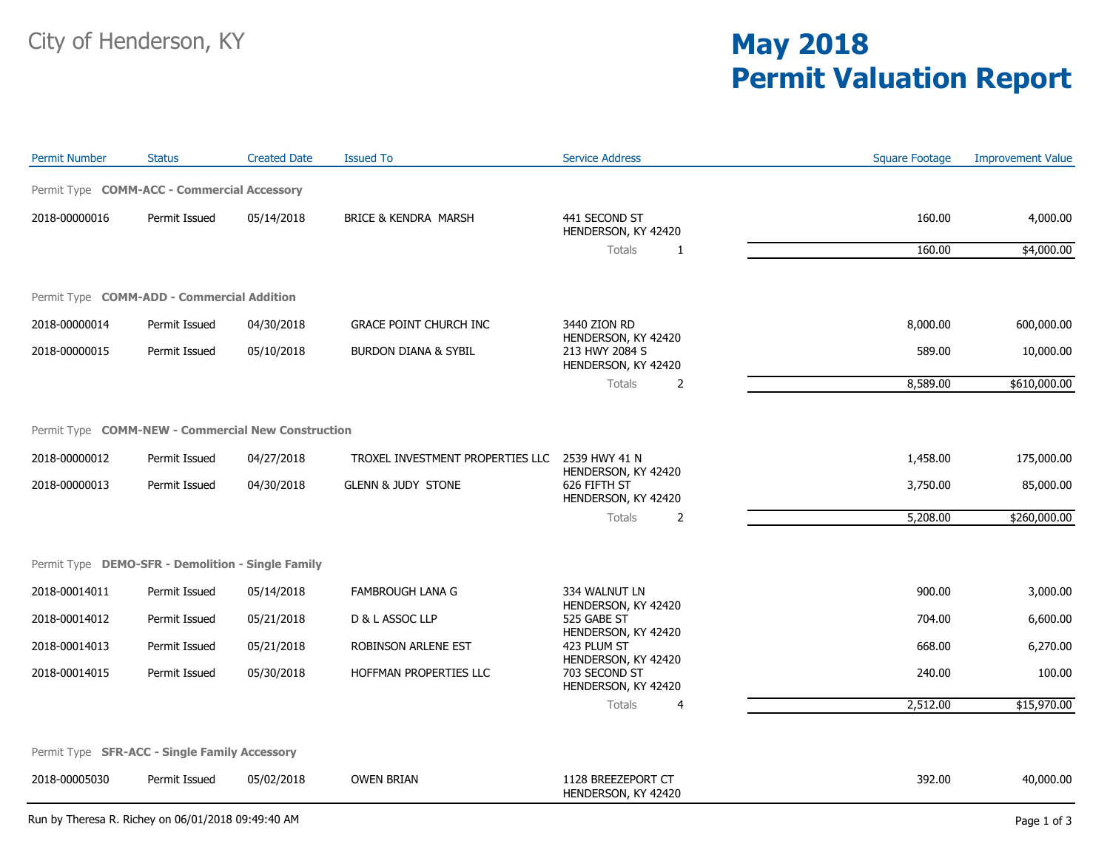## **Permit Valuation Report**

| <b>Permit Number</b>                               | <b>Status</b> | <b>Created Date</b> | <b>Issued To</b>                 | <b>Service Address</b>                                                                                                                  | <b>Square Footage</b> | <b>Improvement Value</b> |
|----------------------------------------------------|---------------|---------------------|----------------------------------|-----------------------------------------------------------------------------------------------------------------------------------------|-----------------------|--------------------------|
| Permit Type COMM-ACC - Commercial Accessory        |               |                     |                                  |                                                                                                                                         |                       |                          |
| 2018-00000016                                      | Permit Issued | 05/14/2018          | BRICE & KENDRA MARSH             | 441 SECOND ST<br>HENDERSON, KY 42420                                                                                                    | 160.00                | 4,000.00                 |
|                                                    |               |                     |                                  | <b>Totals</b><br>1                                                                                                                      | 160.00                | \$4,000.00               |
| Permit Type COMM-ADD - Commercial Addition         |               |                     |                                  |                                                                                                                                         |                       |                          |
| 2018-00000014                                      | Permit Issued | 04/30/2018          | <b>GRACE POINT CHURCH INC</b>    | 3440 ZION RD                                                                                                                            | 8,000.00              | 600,000.00               |
| 2018-00000015                                      | Permit Issued | 05/10/2018          | <b>BURDON DIANA &amp; SYBIL</b>  | HENDERSON, KY 42420<br>213 HWY 2084 S<br>HENDERSON, KY 42420                                                                            | 589.00                | 10,000.00                |
|                                                    |               |                     |                                  | <b>Totals</b><br>2                                                                                                                      | 8,589.00              | \$610,000.00             |
|                                                    |               |                     |                                  |                                                                                                                                         |                       |                          |
| Permit Type COMM-NEW - Commercial New Construction |               |                     |                                  |                                                                                                                                         |                       |                          |
| 2018-00000012                                      | Permit Issued | 04/27/2018          | TROXEL INVESTMENT PROPERTIES LLC | 2539 HWY 41 N<br>HENDERSON, KY 42420                                                                                                    | 1,458.00              | 175,000.00               |
| 2018-00000013                                      | Permit Issued | 04/30/2018          | <b>GLENN &amp; JUDY STONE</b>    | 626 FIFTH ST<br>HENDERSON, KY 42420                                                                                                     | 3,750.00              | 85,000.00                |
|                                                    |               |                     |                                  | <b>Totals</b><br>2                                                                                                                      | 5,208.00              | \$260,000.00             |
| Permit Type DEMO-SFR - Demolition - Single Family  |               |                     |                                  |                                                                                                                                         |                       |                          |
| 2018-00014011                                      | Permit Issued | 05/14/2018          | <b>FAMBROUGH LANA G</b>          | 334 WALNUT LN                                                                                                                           | 900.00                | 3,000.00                 |
| 2018-00014012                                      | Permit Issued | 05/21/2018          | D & L ASSOC LLP                  | HENDERSON, KY 42420<br>525 GABE ST<br>HENDERSON, KY 42420<br>423 PLUM ST<br>HENDERSON, KY 42420<br>703 SECOND ST<br>HENDERSON, KY 42420 | 704.00                | 6,600.00                 |
| 2018-00014013                                      | Permit Issued | 05/21/2018          | ROBINSON ARLENE EST              |                                                                                                                                         | 668.00                | 6,270.00                 |
| 2018-00014015                                      | Permit Issued | 05/30/2018          | HOFFMAN PROPERTIES LLC           |                                                                                                                                         | 240.00                | 100.00                   |
|                                                    |               |                     |                                  | <b>Totals</b><br>$\overline{4}$                                                                                                         | 2,512.00              | \$15,970.00              |
|                                                    |               |                     |                                  |                                                                                                                                         |                       |                          |
| Permit Type SFR-ACC - Single Family Accessory      |               |                     |                                  |                                                                                                                                         |                       |                          |
| 2018-00005030                                      | Permit Issued | 05/02/2018          | <b>OWEN BRIAN</b>                | 1128 BREEZEPORT CT<br>HENDERSON, KY 42420                                                                                               | 392.00                | 40,000.00                |

Run by Theresa R. Richey on 06/01/2018 09:49:40 AM Page 1 of 3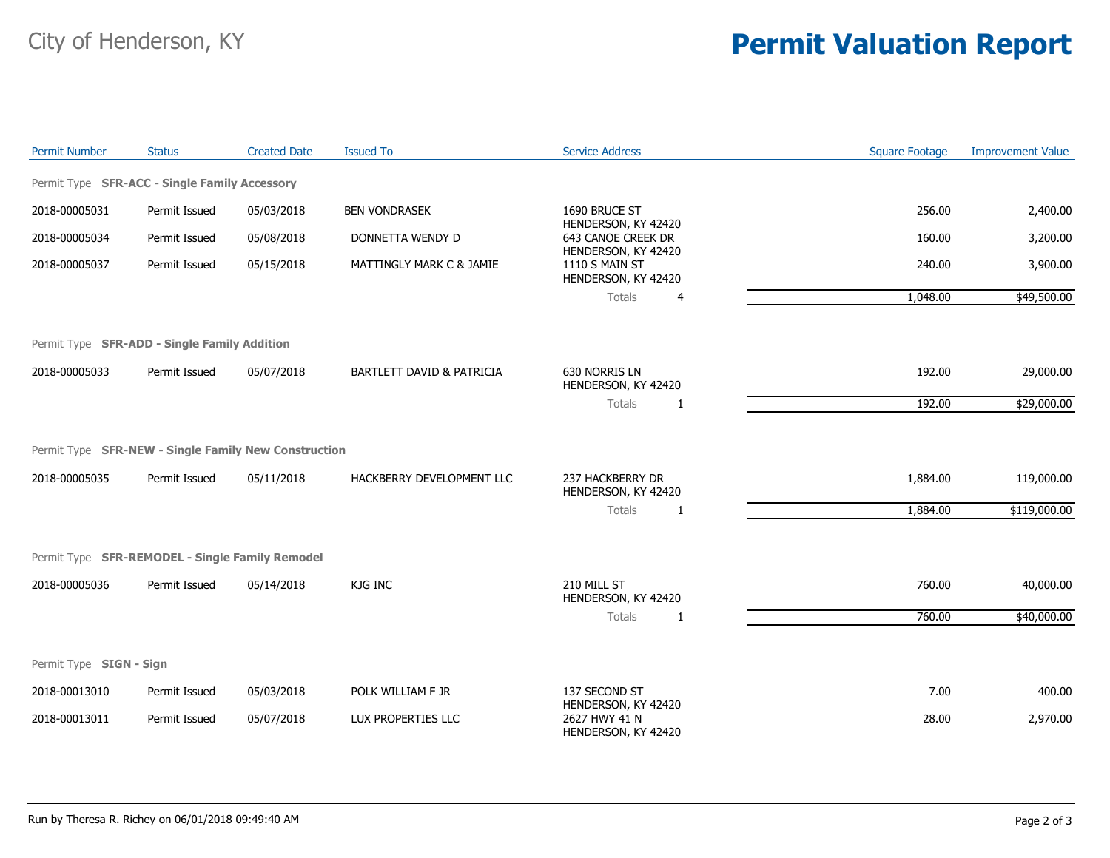## City of Henderson, KY **Permit Valuation Report**

| <b>Permit Number</b>    | <b>Status</b>                                        | <b>Created Date</b> | <b>Issued To</b>          | <b>Service Address</b>                                       | <b>Square Footage</b> | <b>Improvement Value</b> |
|-------------------------|------------------------------------------------------|---------------------|---------------------------|--------------------------------------------------------------|-----------------------|--------------------------|
|                         | Permit Type SFR-ACC - Single Family Accessory        |                     |                           |                                                              |                       |                          |
| 2018-00005031           | Permit Issued                                        | 05/03/2018          | <b>BEN VONDRASEK</b>      | 1690 BRUCE ST                                                | 256.00                | 2,400.00                 |
| 2018-00005034           | Permit Issued                                        | 05/08/2018          | DONNETTA WENDY D          | HENDERSON, KY 42420<br>643 CANOE CREEK DR                    | 160.00                | 3,200.00                 |
| 2018-00005037           | Permit Issued                                        | 05/15/2018          | MATTINGLY MARK C & JAMIE  | HENDERSON, KY 42420<br>1110 S MAIN ST<br>HENDERSON, KY 42420 | 240.00                | 3,900.00                 |
|                         |                                                      |                     |                           | <b>Totals</b><br>4                                           | 1,048.00              | \$49,500.00              |
|                         | Permit Type SFR-ADD - Single Family Addition         |                     |                           |                                                              |                       |                          |
| 2018-00005033           | Permit Issued                                        | 05/07/2018          | BARTLETT DAVID & PATRICIA | 630 NORRIS LN<br>HENDERSON, KY 42420                         | 192.00                | 29,000.00                |
|                         |                                                      |                     |                           | <b>Totals</b><br>1                                           | 192.00                | \$29,000.00              |
|                         | Permit Type SFR-NEW - Single Family New Construction |                     |                           |                                                              |                       |                          |
| 2018-00005035           | Permit Issued                                        | 05/11/2018          | HACKBERRY DEVELOPMENT LLC | 237 HACKBERRY DR<br>HENDERSON, KY 42420                      | 1,884.00              | 119,000.00               |
|                         |                                                      |                     |                           | Totals<br>1                                                  | 1,884.00              | \$119,000.00             |
|                         | Permit Type SFR-REMODEL - Single Family Remodel      |                     |                           |                                                              |                       |                          |
| 2018-00005036           | Permit Issued                                        | 05/14/2018          | KJG INC                   | 210 MILL ST<br>HENDERSON, KY 42420                           | 760.00                | 40,000.00                |
|                         |                                                      |                     |                           | <b>Totals</b><br>1                                           | 760.00                | \$40,000.00              |
| Permit Type SIGN - Sign |                                                      |                     |                           |                                                              |                       |                          |
| 2018-00013010           | Permit Issued                                        | 05/03/2018          | POLK WILLIAM F JR         | 137 SECOND ST                                                | 7.00                  | 400.00                   |
| 2018-00013011           | Permit Issued                                        | 05/07/2018          | LUX PROPERTIES LLC        | HENDERSON, KY 42420<br>2627 HWY 41 N<br>HENDERSON, KY 42420  | 28.00                 | 2,970.00                 |